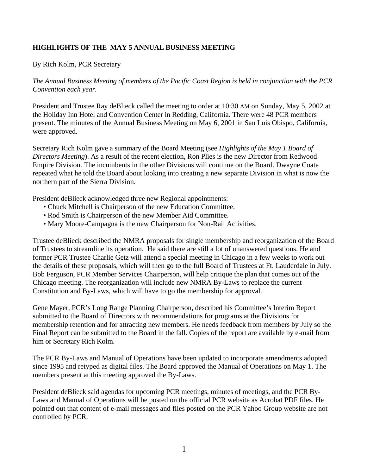## **HIGHLIGHTS OF THE MAY 5 ANNUAL BUSINESS MEETING**

## By Rich Kolm, PCR Secretary

*The Annual Business Meeting of members of the Pacific Coast Region is held in conjunction with the PCR Convention each year.*

President and Trustee Ray deBlieck called the meeting to order at 10:30 AM on Sunday, May 5, 2002 at the Holiday Inn Hotel and Convention Center in Redding, California. There were 48 PCR members present. The minutes of the Annual Business Meeting on May 6, 2001 in San Luis Obispo, California, were approved.

Secretary Rich Kolm gave a summary of the Board Meeting (see *Highlights of the May 1 Board of Directors Meeting*). As a result of the recent election, Ron Plies is the new Director from Redwood Empire Division. The incumbents in the other Divisions will continue on the Board. Dwayne Coate repeated what he told the Board about looking into creating a new separate Division in what is now the northern part of the Sierra Division.

President deBlieck acknowledged three new Regional appointments:

- Chuck Mitchell is Chairperson of the new Education Committee.
- Rod Smith is Chairperson of the new Member Aid Committee.
- Mary Moore-Campagna is the new Chairperson for Non-Rail Activities.

Trustee deBlieck described the NMRA proposals for single membership and reorganization of the Board of Trustees to streamline its operation. He said there are still a lot of unanswered questions. He and former PCR Trustee Charlie Getz will attend a special meeting in Chicago in a few weeks to work out the details of these proposals, which will then go to the full Board of Trustees at Ft. Lauderdale in July. Bob Ferguson, PCR Member Services Chairperson, will help critique the plan that comes out of the Chicago meeting. The reorganization will include new NMRA By-Laws to replace the current Constitution and By-Laws, which will have to go the membership for approval.

Gene Mayer, PCR's Long Range Planning Chairperson, described his Committee's Interim Report submitted to the Board of Directors with recommendations for programs at the Divisions for membership retention and for attracting new members. He needs feedback from members by July so the Final Report can be submitted to the Board in the fall. Copies of the report are available by e-mail from him or Secretary Rich Kolm.

The PCR By-Laws and Manual of Operations have been updated to incorporate amendments adopted since 1995 and retyped as digital files. The Board approved the Manual of Operations on May 1. The members present at this meeting approved the By-Laws.

President deBlieck said agendas for upcoming PCR meetings, minutes of meetings, and the PCR By-Laws and Manual of Operations will be posted on the official PCR website as Acrobat PDF files. He pointed out that content of e-mail messages and files posted on the PCR Yahoo Group website are not controlled by PCR.